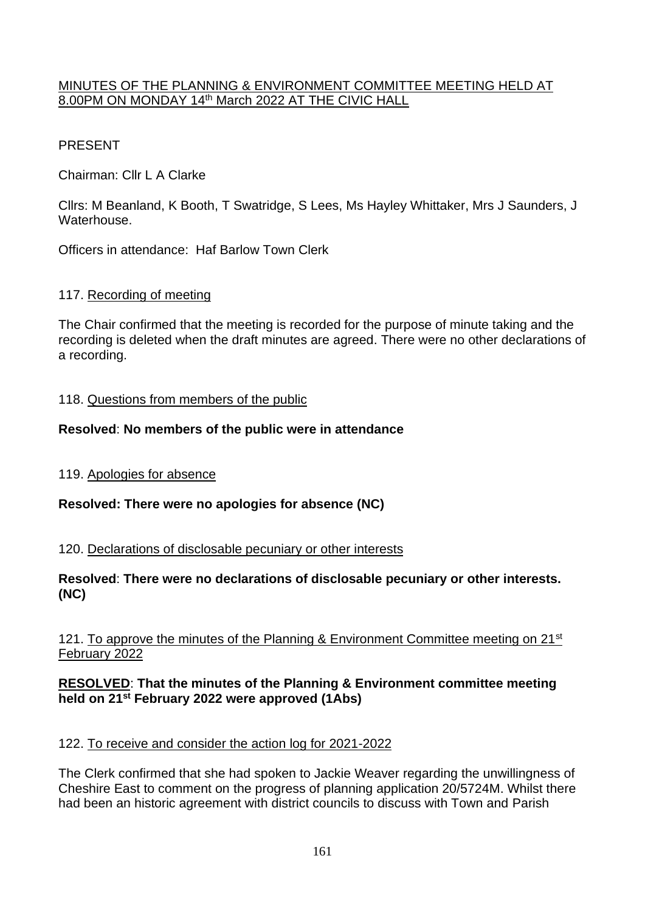## MINUTES OF THE PLANNING & ENVIRONMENT COMMITTEE MEETING HELD AT 8.00PM ON MONDAY 14th March 2022 AT THE CIVIC HALL

# PRESENT

Chairman: Cllr L A Clarke

Cllrs: M Beanland, K Booth, T Swatridge, S Lees, Ms Hayley Whittaker, Mrs J Saunders, J Waterhouse.

Officers in attendance: Haf Barlow Town Clerk

## 117. Recording of meeting

The Chair confirmed that the meeting is recorded for the purpose of minute taking and the recording is deleted when the draft minutes are agreed. There were no other declarations of a recording.

#### 118. Questions from members of the public

#### **Resolved**: **No members of the public were in attendance**

119. Apologies for absence

## **Resolved: There were no apologies for absence (NC)**

120. Declarations of disclosable pecuniary or other interests

#### **Resolved**: **There were no declarations of disclosable pecuniary or other interests. (NC)**

## 121. To approve the minutes of the Planning & Environment Committee meeting on 21<sup>st</sup> February 2022

#### **RESOLVED**: **That the minutes of the Planning & Environment committee meeting held on 21st February 2022 were approved (1Abs)**

## 122. To receive and consider the action log for 2021-2022

The Clerk confirmed that she had spoken to Jackie Weaver regarding the unwillingness of Cheshire East to comment on the progress of planning application 20/5724M. Whilst there had been an historic agreement with district councils to discuss with Town and Parish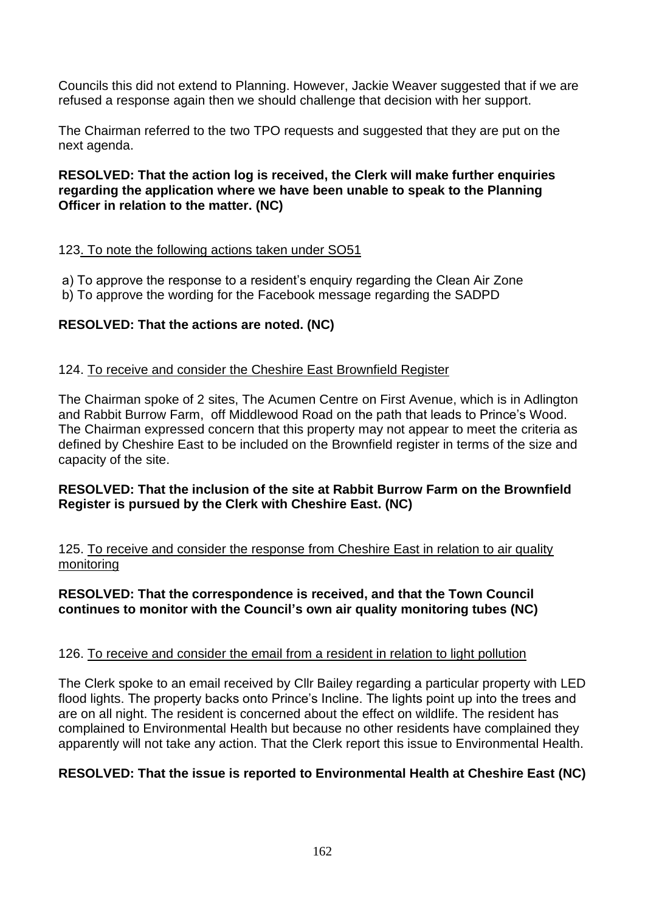Councils this did not extend to Planning. However, Jackie Weaver suggested that if we are refused a response again then we should challenge that decision with her support.

The Chairman referred to the two TPO requests and suggested that they are put on the next agenda.

#### **RESOLVED: That the action log is received, the Clerk will make further enquiries regarding the application where we have been unable to speak to the Planning Officer in relation to the matter. (NC)**

## 123. To note the following actions taken under SO51

a) To approve the response to a resident's enquiry regarding the Clean Air Zone

b) To approve the wording for the Facebook message regarding the SADPD

# **RESOLVED: That the actions are noted. (NC)**

## 124. To receive and consider the Cheshire East Brownfield Register

The Chairman spoke of 2 sites, The Acumen Centre on First Avenue, which is in Adlington and Rabbit Burrow Farm, off Middlewood Road on the path that leads to Prince's Wood. The Chairman expressed concern that this property may not appear to meet the criteria as defined by Cheshire East to be included on the Brownfield register in terms of the size and capacity of the site.

## **RESOLVED: That the inclusion of the site at Rabbit Burrow Farm on the Brownfield Register is pursued by the Clerk with Cheshire East. (NC)**

125. To receive and consider the response from Cheshire East in relation to air quality monitoring

#### **RESOLVED: That the correspondence is received, and that the Town Council continues to monitor with the Council's own air quality monitoring tubes (NC)**

#### 126. To receive and consider the email from a resident in relation to light pollution

The Clerk spoke to an email received by Cllr Bailey regarding a particular property with LED flood lights. The property backs onto Prince's Incline. The lights point up into the trees and are on all night. The resident is concerned about the effect on wildlife. The resident has complained to Environmental Health but because no other residents have complained they apparently will not take any action. That the Clerk report this issue to Environmental Health.

## **RESOLVED: That the issue is reported to Environmental Health at Cheshire East (NC)**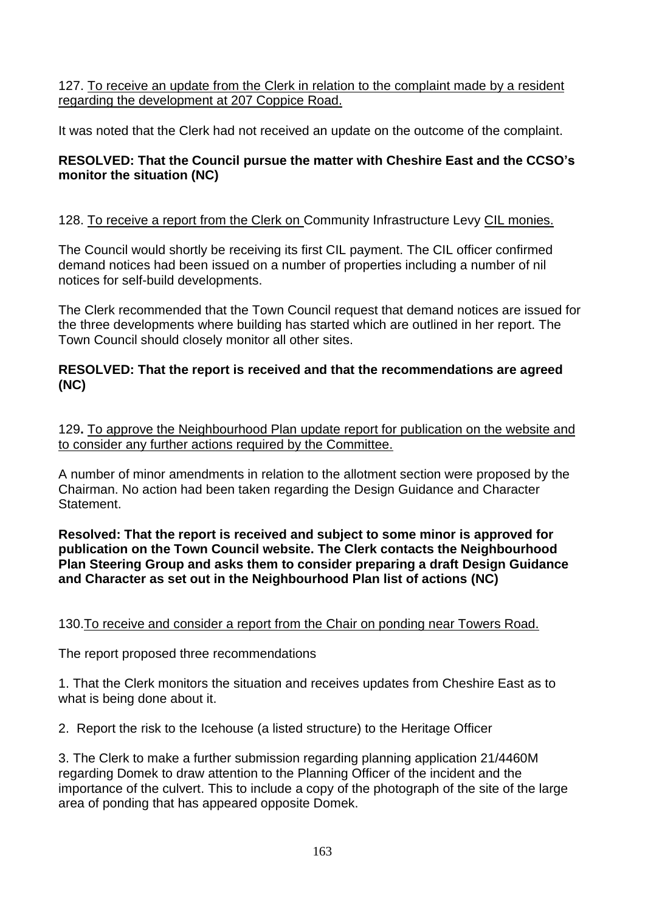127. To receive an update from the Clerk in relation to the complaint made by a resident regarding the development at 207 Coppice Road.

It was noted that the Clerk had not received an update on the outcome of the complaint.

# **RESOLVED: That the Council pursue the matter with Cheshire East and the CCSO's monitor the situation (NC)**

# 128. To receive a report from the Clerk on Community Infrastructure Levy CIL monies.

The Council would shortly be receiving its first CIL payment. The CIL officer confirmed demand notices had been issued on a number of properties including a number of nil notices for self-build developments.

The Clerk recommended that the Town Council request that demand notices are issued for the three developments where building has started which are outlined in her report. The Town Council should closely monitor all other sites.

## **RESOLVED: That the report is received and that the recommendations are agreed (NC)**

129**.** To approve the Neighbourhood Plan update report for publication on the website and to consider any further actions required by the Committee.

A number of minor amendments in relation to the allotment section were proposed by the Chairman. No action had been taken regarding the Design Guidance and Character Statement.

**Resolved: That the report is received and subject to some minor is approved for publication on the Town Council website. The Clerk contacts the Neighbourhood Plan Steering Group and asks them to consider preparing a draft Design Guidance and Character as set out in the Neighbourhood Plan list of actions (NC)**

# 130.To receive and consider a report from the Chair on ponding near Towers Road.

The report proposed three recommendations

1. That the Clerk monitors the situation and receives updates from Cheshire East as to what is being done about it.

2. Report the risk to the Icehouse (a listed structure) to the Heritage Officer

3. The Clerk to make a further submission regarding planning application 21/4460M regarding Domek to draw attention to the Planning Officer of the incident and the importance of the culvert. This to include a copy of the photograph of the site of the large area of ponding that has appeared opposite Domek.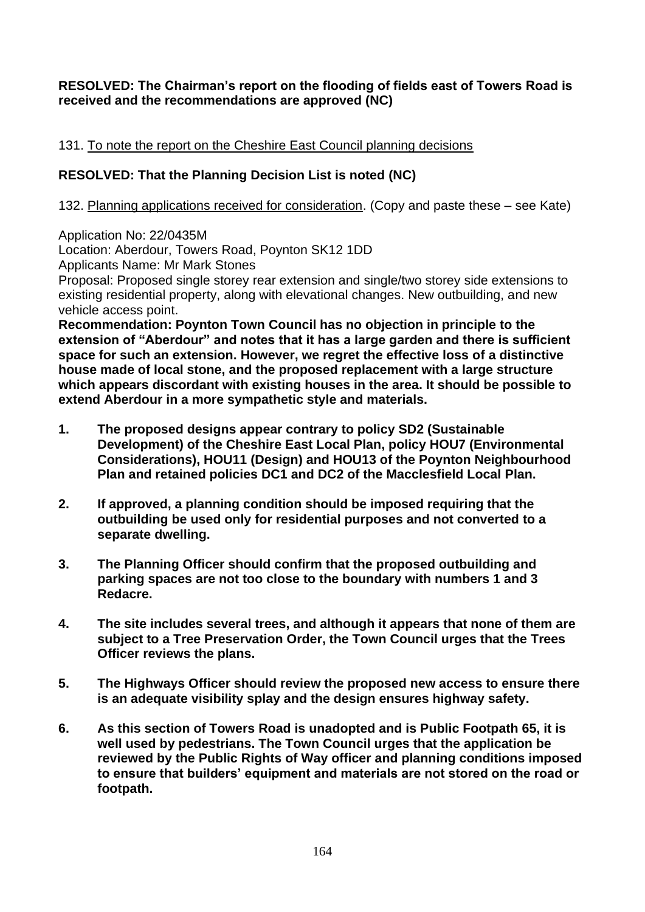## **RESOLVED: The Chairman's report on the flooding of fields east of Towers Road is received and the recommendations are approved (NC)**

## 131. To note the report on the Cheshire East Council planning decisions

# **RESOLVED: That the Planning Decision List is noted (NC)**

132. Planning applications received for consideration. (Copy and paste these – see Kate)

Application No: 22/0435M

Location: Aberdour, Towers Road, Poynton SK12 1DD

Applicants Name: Mr Mark Stones

Proposal: Proposed single storey rear extension and single/two storey side extensions to existing residential property, along with elevational changes. New outbuilding, and new vehicle access point.

**Recommendation: Poynton Town Council has no objection in principle to the extension of "Aberdour" and notes that it has a large garden and there is sufficient space for such an extension. However, we regret the effective loss of a distinctive house made of local stone, and the proposed replacement with a large structure which appears discordant with existing houses in the area. It should be possible to extend Aberdour in a more sympathetic style and materials.**

- **1. The proposed designs appear contrary to policy SD2 (Sustainable Development) of the Cheshire East Local Plan, policy HOU7 (Environmental Considerations), HOU11 (Design) and HOU13 of the Poynton Neighbourhood Plan and retained policies DC1 and DC2 of the Macclesfield Local Plan.**
- **2. If approved, a planning condition should be imposed requiring that the outbuilding be used only for residential purposes and not converted to a separate dwelling.**
- **3. The Planning Officer should confirm that the proposed outbuilding and parking spaces are not too close to the boundary with numbers 1 and 3 Redacre.**
- **4. The site includes several trees, and although it appears that none of them are subject to a Tree Preservation Order, the Town Council urges that the Trees Officer reviews the plans.**
- **5. The Highways Officer should review the proposed new access to ensure there is an adequate visibility splay and the design ensures highway safety.**
- **6. As this section of Towers Road is unadopted and is Public Footpath 65, it is well used by pedestrians. The Town Council urges that the application be reviewed by the Public Rights of Way officer and planning conditions imposed to ensure that builders' equipment and materials are not stored on the road or footpath.**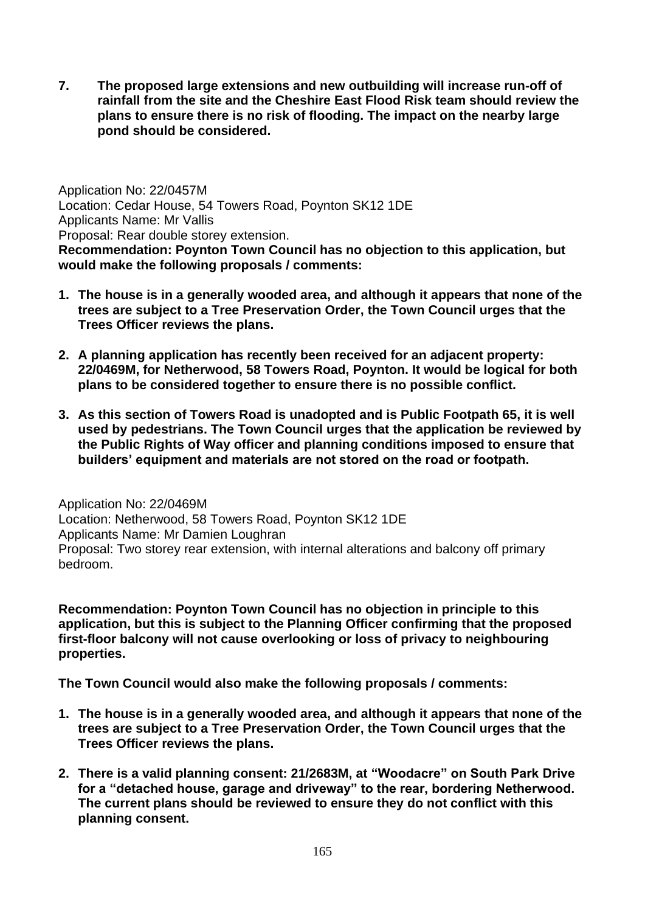**7. The proposed large extensions and new outbuilding will increase run-off of rainfall from the site and the Cheshire East Flood Risk team should review the plans to ensure there is no risk of flooding. The impact on the nearby large pond should be considered.**

Application No: 22/0457M Location: Cedar House, 54 Towers Road, Poynton SK12 1DE Applicants Name: Mr Vallis Proposal: Rear double storey extension. **Recommendation: Poynton Town Council has no objection to this application, but would make the following proposals / comments:**

- **1. The house is in a generally wooded area, and although it appears that none of the trees are subject to a Tree Preservation Order, the Town Council urges that the Trees Officer reviews the plans.**
- **2. A planning application has recently been received for an adjacent property: 22/0469M, for Netherwood, 58 Towers Road, Poynton. It would be logical for both plans to be considered together to ensure there is no possible conflict.**
- **3. As this section of Towers Road is unadopted and is Public Footpath 65, it is well used by pedestrians. The Town Council urges that the application be reviewed by the Public Rights of Way officer and planning conditions imposed to ensure that builders' equipment and materials are not stored on the road or footpath.**

Application No: 22/0469M Location: Netherwood, 58 Towers Road, Poynton SK12 1DE Applicants Name: Mr Damien Loughran Proposal: Two storey rear extension, with internal alterations and balcony off primary bedroom.

**Recommendation: Poynton Town Council has no objection in principle to this application, but this is subject to the Planning Officer confirming that the proposed first-floor balcony will not cause overlooking or loss of privacy to neighbouring properties.**

**The Town Council would also make the following proposals / comments:**

- **1. The house is in a generally wooded area, and although it appears that none of the trees are subject to a Tree Preservation Order, the Town Council urges that the Trees Officer reviews the plans.**
- **2. There is a valid planning consent: 21/2683M, at "Woodacre" on South Park Drive for a "detached house, garage and driveway" to the rear, bordering Netherwood. The current plans should be reviewed to ensure they do not conflict with this planning consent.**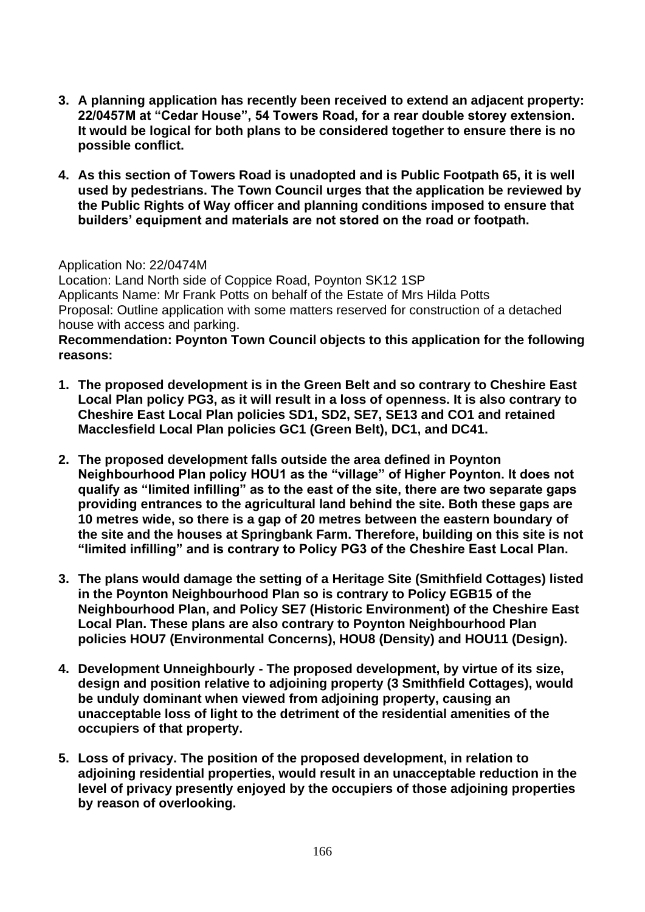- **3. A planning application has recently been received to extend an adjacent property: 22/0457M at "Cedar House", 54 Towers Road, for a rear double storey extension. It would be logical for both plans to be considered together to ensure there is no possible conflict.**
- **4. As this section of Towers Road is unadopted and is Public Footpath 65, it is well used by pedestrians. The Town Council urges that the application be reviewed by the Public Rights of Way officer and planning conditions imposed to ensure that builders' equipment and materials are not stored on the road or footpath.**

#### Application No: 22/0474M

Location: Land North side of Coppice Road, Poynton SK12 1SP Applicants Name: Mr Frank Potts on behalf of the Estate of Mrs Hilda Potts Proposal: Outline application with some matters reserved for construction of a detached house with access and parking.

#### **Recommendation: Poynton Town Council objects to this application for the following reasons:**

- **1. The proposed development is in the Green Belt and so contrary to Cheshire East Local Plan policy PG3, as it will result in a loss of openness. It is also contrary to Cheshire East Local Plan policies SD1, SD2, SE7, SE13 and CO1 and retained Macclesfield Local Plan policies GC1 (Green Belt), DC1, and DC41.**
- **2. The proposed development falls outside the area defined in Poynton Neighbourhood Plan policy HOU1 as the "village" of Higher Poynton. It does not qualify as "limited infilling" as to the east of the site, there are two separate gaps providing entrances to the agricultural land behind the site. Both these gaps are 10 metres wide, so there is a gap of 20 metres between the eastern boundary of the site and the houses at Springbank Farm. Therefore, building on this site is not "limited infilling" and is contrary to Policy PG3 of the Cheshire East Local Plan.**
- **3. The plans would damage the setting of a Heritage Site (Smithfield Cottages) listed in the Poynton Neighbourhood Plan so is contrary to Policy EGB15 of the Neighbourhood Plan, and Policy SE7 (Historic Environment) of the Cheshire East Local Plan. These plans are also contrary to Poynton Neighbourhood Plan policies HOU7 (Environmental Concerns), HOU8 (Density) and HOU11 (Design).**
- **4. Development Unneighbourly - The proposed development, by virtue of its size, design and position relative to adjoining property (3 Smithfield Cottages), would be unduly dominant when viewed from adjoining property, causing an unacceptable loss of light to the detriment of the residential amenities of the occupiers of that property.**
- **5. Loss of privacy. The position of the proposed development, in relation to adjoining residential properties, would result in an unacceptable reduction in the level of privacy presently enjoyed by the occupiers of those adjoining properties by reason of overlooking.**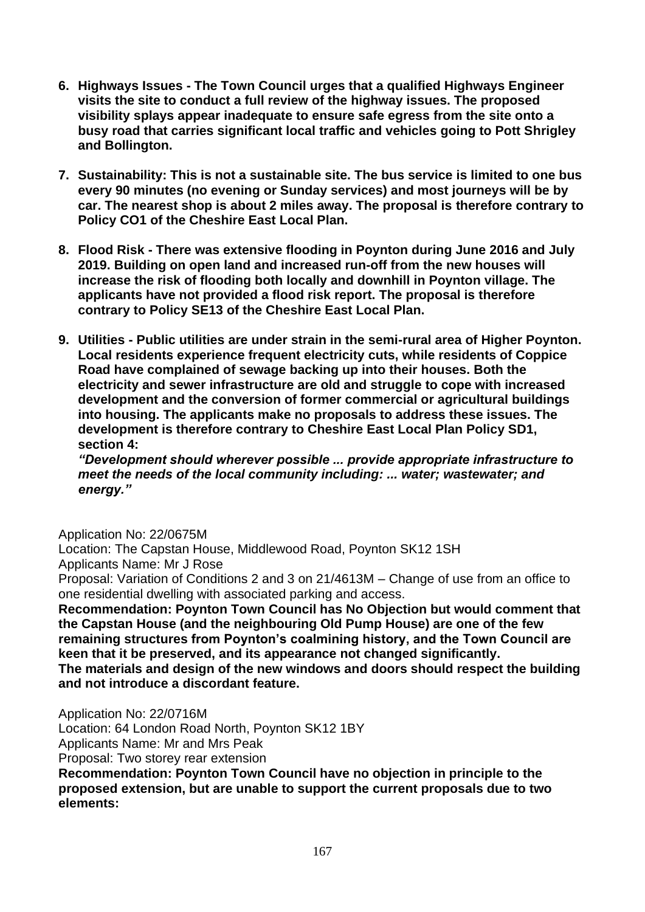- **6. Highways Issues - The Town Council urges that a qualified Highways Engineer visits the site to conduct a full review of the highway issues. The proposed visibility splays appear inadequate to ensure safe egress from the site onto a busy road that carries significant local traffic and vehicles going to Pott Shrigley and Bollington.**
- **7. Sustainability: This is not a sustainable site. The bus service is limited to one bus every 90 minutes (no evening or Sunday services) and most journeys will be by car. The nearest shop is about 2 miles away. The proposal is therefore contrary to Policy CO1 of the Cheshire East Local Plan.**
- **8. Flood Risk - There was extensive flooding in Poynton during June 2016 and July 2019. Building on open land and increased run-off from the new houses will increase the risk of flooding both locally and downhill in Poynton village. The applicants have not provided a flood risk report. The proposal is therefore contrary to Policy SE13 of the Cheshire East Local Plan.**
- **9. Utilities - Public utilities are under strain in the semi-rural area of Higher Poynton. Local residents experience frequent electricity cuts, while residents of Coppice Road have complained of sewage backing up into their houses. Both the electricity and sewer infrastructure are old and struggle to cope with increased development and the conversion of former commercial or agricultural buildings into housing. The applicants make no proposals to address these issues. The development is therefore contrary to Cheshire East Local Plan Policy SD1, section 4:**

*"Development should wherever possible ... provide appropriate infrastructure to meet the needs of the local community including: ... water; wastewater; and energy."*

#### Application No: 22/0675M

Location: The Capstan House, Middlewood Road, Poynton SK12 1SH Applicants Name: Mr J Rose

Proposal: Variation of Conditions 2 and 3 on 21/4613M – Change of use from an office to one residential dwelling with associated parking and access.

**Recommendation: Poynton Town Council has No Objection but would comment that the Capstan House (and the neighbouring Old Pump House) are one of the few remaining structures from Poynton's coalmining history, and the Town Council are keen that it be preserved, and its appearance not changed significantly. The materials and design of the new windows and doors should respect the building and not introduce a discordant feature.**

Application No: 22/0716M

Location: 64 London Road North, Poynton SK12 1BY

Applicants Name: Mr and Mrs Peak

Proposal: Two storey rear extension

**Recommendation: Poynton Town Council have no objection in principle to the proposed extension, but are unable to support the current proposals due to two elements:**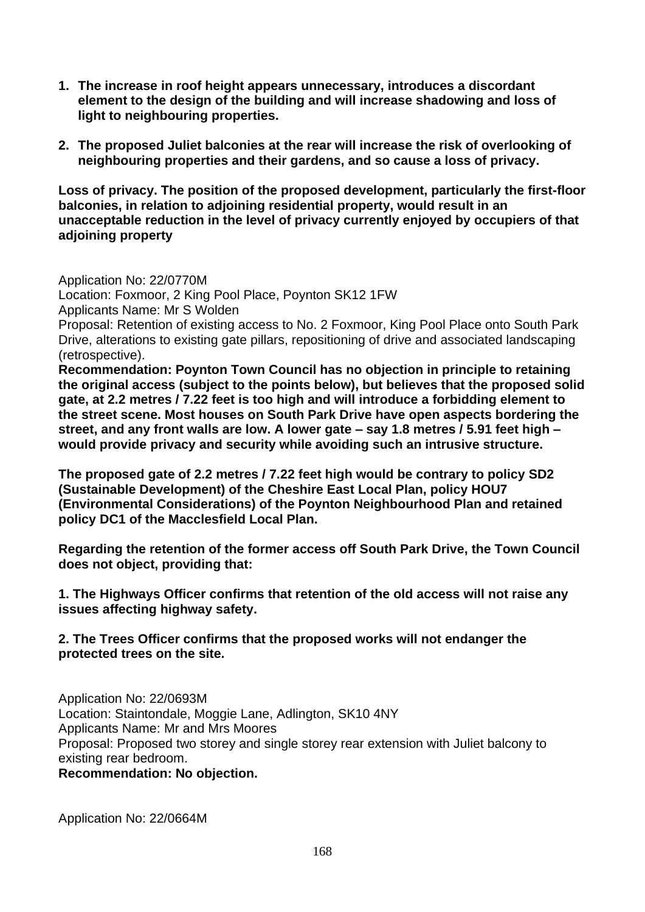- **1. The increase in roof height appears unnecessary, introduces a discordant element to the design of the building and will increase shadowing and loss of light to neighbouring properties.**
- **2. The proposed Juliet balconies at the rear will increase the risk of overlooking of neighbouring properties and their gardens, and so cause a loss of privacy.**

**Loss of privacy. The position of the proposed development, particularly the first-floor balconies, in relation to adjoining residential property, would result in an unacceptable reduction in the level of privacy currently enjoyed by occupiers of that adjoining property**

Application No: 22/0770M Location: Foxmoor, 2 King Pool Place, Poynton SK12 1FW Applicants Name: Mr S Wolden Proposal: Retention of existing access to No. 2 Foxmoor, King Pool Place onto South Park Drive, alterations to existing gate pillars, repositioning of drive and associated landscaping (retrospective). **Recommendation: Poynton Town Council has no objection in principle to retaining** 

**the original access (subject to the points below), but believes that the proposed solid gate, at 2.2 metres / 7.22 feet is too high and will introduce a forbidding element to the street scene. Most houses on South Park Drive have open aspects bordering the street, and any front walls are low. A lower gate – say 1.8 metres / 5.91 feet high – would provide privacy and security while avoiding such an intrusive structure.**

**The proposed gate of 2.2 metres / 7.22 feet high would be contrary to policy SD2 (Sustainable Development) of the Cheshire East Local Plan, policy HOU7 (Environmental Considerations) of the Poynton Neighbourhood Plan and retained policy DC1 of the Macclesfield Local Plan.**

**Regarding the retention of the former access off South Park Drive, the Town Council does not object, providing that:**

**1. The Highways Officer confirms that retention of the old access will not raise any issues affecting highway safety.**

## **2. The Trees Officer confirms that the proposed works will not endanger the protected trees on the site.**

Application No: 22/0693M Location: Staintondale, Moggie Lane, Adlington, SK10 4NY Applicants Name: Mr and Mrs Moores Proposal: Proposed two storey and single storey rear extension with Juliet balcony to existing rear bedroom. **Recommendation: No objection.**

Application No: 22/0664M